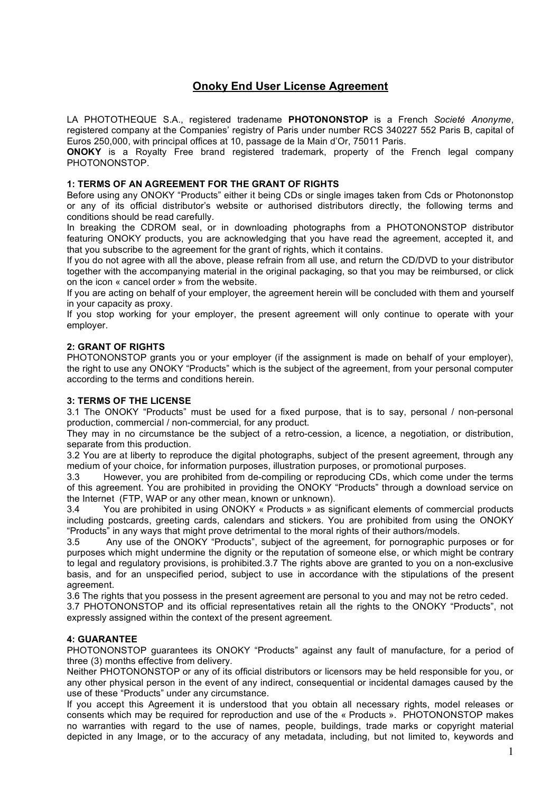# **Onoky End User License Agreement**

LA PHOTOTHEQUE S.A., registered tradename **PHOTONONSTOP** is a French *Societé Anonyme*, registered company at the Companies' registry of Paris under number RCS 340227 552 Paris B, capital of Euros 250,000, with principal offices at 10, passage de la Main d'Or, 75011 Paris.

**ONOKY** is a Royalty Free brand registered trademark, property of the French legal company PHOTONONSTOP.

## **1: TERMS OF AN AGREEMENT FOR THE GRANT OF RIGHTS**

Before using any ONOKY "Products" either it being CDs or single images taken from Cds or Photononstop or any of its official distributor's website or authorised distributors directly, the following terms and conditions should be read carefully.

In breaking the CDROM seal, or in downloading photographs from a PHOTONONSTOP distributor featuring ONOKY products, you are acknowledging that you have read the agreement, accepted it, and that you subscribe to the agreement for the grant of rights, which it contains.

If you do not agree with all the above, please refrain from all use, and return the CD/DVD to your distributor together with the accompanying material in the original packaging, so that you may be reimbursed, or click on the icon « cancel order » from the website.

If you are acting on behalf of your employer, the agreement herein will be concluded with them and yourself in your capacity as proxy.

If you stop working for your employer, the present agreement will only continue to operate with your employer.

## **2: GRANT OF RIGHTS**

PHOTONONSTOP grants you or your employer (if the assignment is made on behalf of your employer), the right to use any ONOKY "Products" which is the subject of the agreement, from your personal computer according to the terms and conditions herein.

## **3: TERMS OF THE LICENSE**

3.1 The ONOKY "Products" must be used for a fixed purpose, that is to say, personal / non-personal production, commercial / non-commercial, for any product.

They may in no circumstance be the subject of a retro-cession, a licence, a negotiation, or distribution, separate from this production.

3.2 You are at liberty to reproduce the digital photographs, subject of the present agreement, through any medium of your choice, for information purposes, illustration purposes, or promotional purposes.

3.3 However, you are prohibited from de-compiling or reproducing CDs, which come under the terms of this agreement. You are prohibited in providing the ONOKY "Products" through a download service on the Internet (FTP, WAP or any other mean, known or unknown).

3.4 You are prohibited in using ONOKY « Products » as significant elements of commercial products including postcards, greeting cards, calendars and stickers. You are prohibited from using the ONOKY "Products" in any ways that might prove detrimental to the moral rights of their authors/models.

3.5 Any use of the ONOKY "Products", subject of the agreement, for pornographic purposes or for purposes which might undermine the dignity or the reputation of someone else, or which might be contrary to legal and regulatory provisions, is prohibited.3.7 The rights above are granted to you on a non-exclusive basis, and for an unspecified period, subject to use in accordance with the stipulations of the present agreement.

3.6 The rights that you possess in the present agreement are personal to you and may not be retro ceded.

3.7 PHOTONONSTOP and its official representatives retain all the rights to the ONOKY "Products", not expressly assigned within the context of the present agreement.

## **4: GUARANTEE**

PHOTONONSTOP quarantees its ONOKY "Products" against any fault of manufacture, for a period of three (3) months effective from delivery.

Neither PHOTONONSTOP or any of its official distributors or licensors may be held responsible for you, or any other physical person in the event of any indirect, consequential or incidental damages caused by the use of these "Products" under any circumstance.

If you accept this Agreement it is understood that you obtain all necessary rights, model releases or consents which may be required for reproduction and use of the « Products ». PHOTONONSTOP makes no warranties with regard to the use of names, people, buildings, trade marks or copyright material depicted in any Image, or to the accuracy of any metadata, including, but not limited to, keywords and